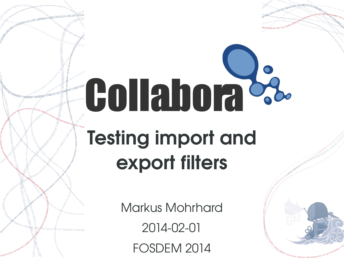# **Collabora<sup>c</sup>** Testing import and export filters

Markus Mohrhard 2014-02-01 FOSDEM 2014



AU ACCORDING TREATMENT AND TREATMENT OF THE CONTRACTOR CONTRACTOR CONTRACTOR

**ANDREW CONTROLLOUR CONTROLLOUR CONTROLLOUR CONTROLLOUR CONTROLLOUR CONTROLLOUR CONTROLLOUR CONTROLLOUR CONTROLLOUR CONTROLLOUR CONTROLLOUR CONTROLLOUR CONTROLLOUR CONTROLLOUR CONTROLLOUR CONTROLLOUR CONTROLLOUR CONTROLLOU** 

1100000110000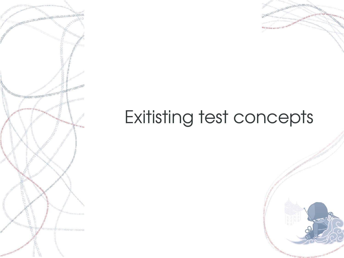

# 0001011000100110111

# Exitisting test concepts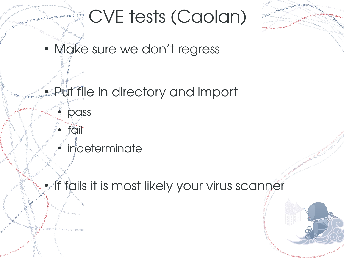

• Make sure we don't regress

**• Put file in directory and import** 

indeterminate

pass

fail

**• If fails it is most likely your virus scanner** 

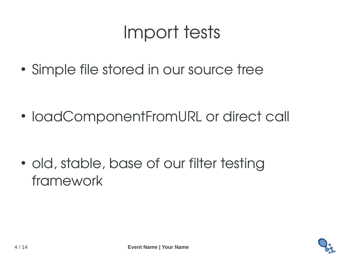## Import tests

• Simple file stored in our source tree

• loadComponentFromURL or direct call

• old, stable, base of our filter testing framework

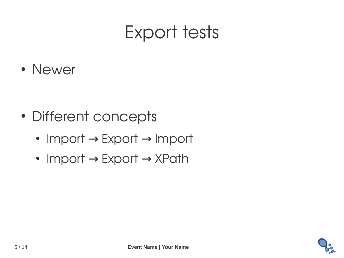## Export tests

● Newer

- Different concepts
	- Import  $\rightarrow$  Export  $\rightarrow$  Import
	- Import  $\rightarrow$  Export  $\rightarrow$  XPath

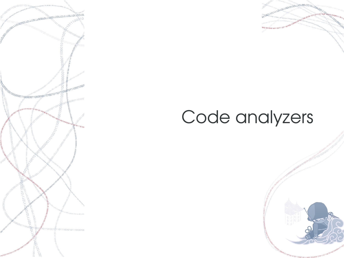



### Code analyzers

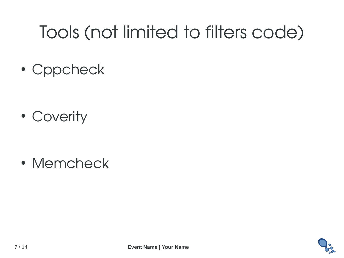# Tools (not limited to filters code)

• Cppcheck

• Coverity

• Memcheck

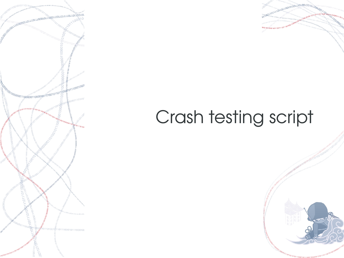



## Crash testing script

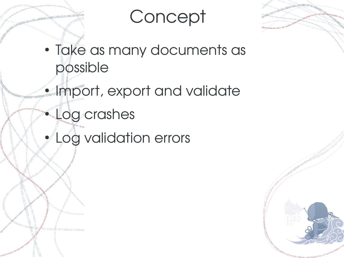#### **Concept**

- **ASA CONTRACTOR CONTROLS (CONTRACTOR)**
- Take as many documents as possible
- **Import, export and validate** 
	- **Log** crashes
	- **A** Log validation errors



Aconomic Contract Contract Contract Contract Contract Contract Contract Contract Contract Contract Contract Contract Contract Contract Contract Contract Contract Contract Contract Contract Contract Contract Contract Contra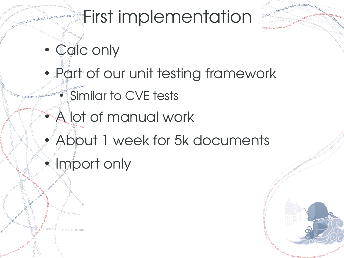### **First implementation**

- Calc only
- Part of our unit testing framework Similar to CVE tests
	- A lot of manual work
- About 1 week for 5k documents
- Import only

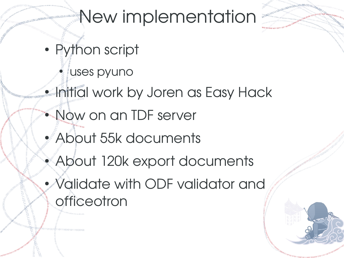## New implementation

- Python script
	- **Luses pyuno**
- **Initial work by Joren as Easy Hack** 
	- $\bullet$  Now on an TDF server
	- About 55k documents
	- About 120k export documents
	- Validate with ODF validator and **officeotron**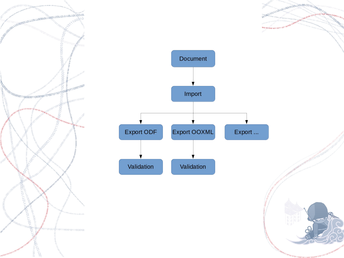



OTTOOLIDELLED COLORED COLORED COLORED COLORED COLORED COLORED COLORED COLORED COLORED COLORED COLORED COLORED COLORED COLORED COLORED COLORED COLORED COLORED COLORED COLORED COLORED COLORED COLORED COLORED COLORED COLORED

-811001000110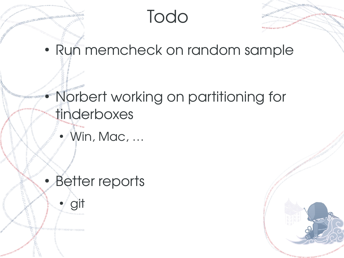#### Todo

100101001100100100100

• Run memcheck on random sample

#### **• Norbert working on partitioning for** tinderboxes

• Win, Mac, ...

#### • Better reports

● git

Antiocontract Leonard Contract Contract Contract Contract Contract Contract Contract Contract Contract Contract Contract Contract Contract Contract Contract Contract Contract Contract Contract Contract Contract Contract Co